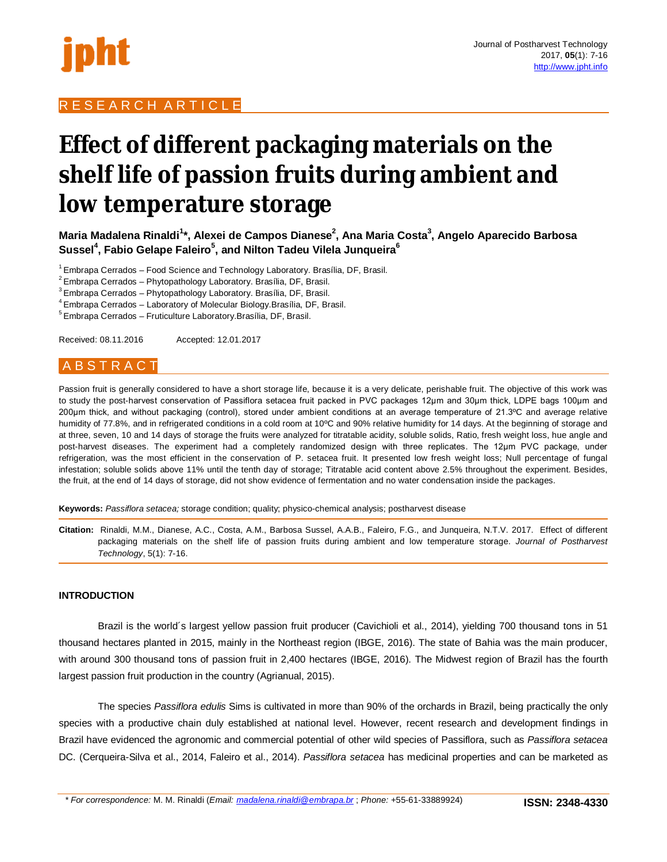

# R E S E A R C H A R T I C L E

# **Effect of different packaging materials on the shelf life of passion fruits during ambient and low temperature storage**

**Maria Madalena Rinaldi<sup>1</sup> \*, Alexei de Campos Dianese<sup>2</sup> , Ana Maria Costa<sup>3</sup> , Angelo Aparecido Barbosa Sussel<sup>4</sup> , Fabio Gelape Faleiro<sup>5</sup> , and Nilton Tadeu Vilela Junqueira<sup>6</sup>**

<sup>1</sup> Embrapa Cerrados – Food Science and Technology Laboratory. Brasília, DF, Brasil.

 ${}^{2}$  Embrapa Cerrados – Phytopathology Laboratory. Brasília, DF, Brasil.

 $3$  Embrapa Cerrados – Phytopathology Laboratory. Brasília, DF, Brasil.

 $4$  Embrapa Cerrados – Laboratory of Molecular Biology. Brasília, DF, Brasil.

<sup>5</sup> Embrapa Cerrados – Fruticulture Laboratory. Brasília, DF, Brasil.

Received: 08.11.2016 Accepted: 12.01.2017

# A B S T R A C T

Passion fruit is generally considered to have a short storage life, because it is a very delicate, perishable fruit. The objective of this work was to study the post-harvest conservation of Passiflora setacea fruit packed in PVC packages 12μm and 30μm thick, LDPE bags 100μm and 200μm thick, and without packaging (control), stored under ambient conditions at an average temperature of 21.3ºC and average relative humidity of 77.8%, and in refrigerated conditions in a cold room at 10ºC and 90% relative humidity for 14 days. At the beginning of storage and at three, seven, 10 and 14 days of storage the fruits were analyzed for titratable acidity, soluble solids, Ratio, fresh weight loss, hue angle and post-harvest diseases. The experiment had a completely randomized design with three replicates. The 12μm PVC package, under refrigeration, was the most efficient in the conservation of P. setacea fruit. It presented low fresh weight loss; Null percentage of fungal infestation; soluble solids above 11% until the tenth day of storage; Titratable acid content above 2.5% throughout the experiment. Besides, the fruit, at the end of 14 days of storage, did not show evidence of fermentation and no water condensation inside the packages.

**Keywords:** *Passiflora setacea;* storage condition; quality; physico-chemical analysis; postharvest disease

**Citation:** Rinaldi, M.M., Dianese, A.C., Costa, A.M., Barbosa Sussel, A.A.B., Faleiro, F.G., and Junqueira, N.T.V. 2017. Effect of different packaging materials on the shelf life of passion fruits during ambient and low temperature storage. *Journal of Postharvest Technology*, 5(1): 7-16.

## **INTRODUCTION**

Brazil is the world´s largest yellow passion fruit producer (Cavichioli et al., 2014), yielding 700 thousand tons in 51 thousand hectares planted in 2015, mainly in the Northeast region (IBGE, 2016). The state of Bahia was the main producer, with around 300 thousand tons of passion fruit in 2,400 hectares (IBGE, 2016). The Midwest region of Brazil has the fourth largest passion fruit production in the country (Agrianual, 2015).

The species *Passiflora edulis* Sims is cultivated in more than 90% of the orchards in Brazil, being practically the only species with a productive chain duly established at national level. However, recent research and development findings in Brazil have evidenced the agronomic and commercial potential of other wild species of Passiflora, such as *Passiflora setacea* DC. (Cerqueira-Silva et al., 2014, Faleiro et al., 2014). *Passiflora setacea* has medicinal properties and can be marketed as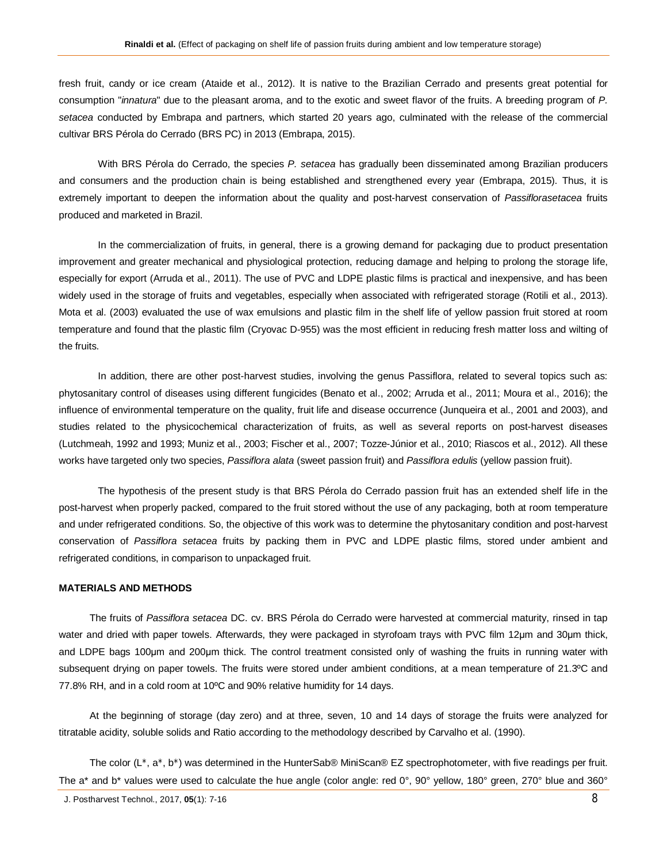fresh fruit, candy or ice cream (Ataide et al., 2012). It is native to the Brazilian Cerrado and presents great potential for consumption "*innatura*" due to the pleasant aroma, and to the exotic and sweet flavor of the fruits. A breeding program of *P. setacea* conducted by Embrapa and partners, which started 20 years ago, culminated with the release of the commercial cultivar BRS Pérola do Cerrado (BRS PC) in 2013 (Embrapa, 2015).

With BRS Pérola do Cerrado, the species *P. setacea* has gradually been disseminated among Brazilian producers and consumers and the production chain is being established and strengthened every year (Embrapa, 2015). Thus, it is extremely important to deepen the information about the quality and post-harvest conservation of *Passiflorasetacea* fruits produced and marketed in Brazil.

In the commercialization of fruits, in general, there is a growing demand for packaging due to product presentation improvement and greater mechanical and physiological protection, reducing damage and helping to prolong the storage life, especially for export (Arruda et al., 2011). The use of PVC and LDPE plastic films is practical and inexpensive, and has been widely used in the storage of fruits and vegetables, especially when associated with refrigerated storage (Rotili et al., 2013). Mota et al. (2003) evaluated the use of wax emulsions and plastic film in the shelf life of yellow passion fruit stored at room temperature and found that the plastic film (Cryovac D-955) was the most efficient in reducing fresh matter loss and wilting of the fruits.

In addition, there are other post-harvest studies, involving the genus Passiflora, related to several topics such as: phytosanitary control of diseases using different fungicides (Benato et al., 2002; Arruda et al., 2011; Moura et al., 2016); the influence of environmental temperature on the quality, fruit life and disease occurrence (Junqueira et al., 2001 and 2003), and studies related to the physicochemical characterization of fruits, as well as several reports on post-harvest diseases (Lutchmeah, 1992 and 1993; Muniz et al., 2003; Fischer et al., 2007; Tozze-Júnior et al., 2010; Riascos et al., 2012). All these works have targeted only two species, *Passiflora alata* (sweet passion fruit) and *Passiflora edulis* (yellow passion fruit).

The hypothesis of the present study is that BRS Pérola do Cerrado passion fruit has an extended shelf life in the post-harvest when properly packed, compared to the fruit stored without the use of any packaging, both at room temperature and under refrigerated conditions. So, the objective of this work was to determine the phytosanitary condition and post-harvest conservation of *Passiflora setacea* fruits by packing them in PVC and LDPE plastic films, stored under ambient and refrigerated conditions, in comparison to unpackaged fruit.

## **MATERIALS AND METHODS**

The fruits of *Passiflora setacea* DC. cv. BRS Pérola do Cerrado were harvested at commercial maturity, rinsed in tap water and dried with paper towels. Afterwards, they were packaged in styrofoam trays with PVC film 12μm and 30μm thick, and LDPE bags 100μm and 200μm thick. The control treatment consisted only of washing the fruits in running water with subsequent drying on paper towels. The fruits were stored under ambient conditions, at a mean temperature of 21.3°C and 77.8% RH, and in a cold room at 10ºC and 90% relative humidity for 14 days.

At the beginning of storage (day zero) and at three, seven, 10 and 14 days of storage the fruits were analyzed for titratable acidity, soluble solids and Ratio according to the methodology described by Carvalho et al. (1990).

The color (L<sup>\*</sup>, a<sup>\*</sup>, b<sup>\*</sup>) was determined in the HunterSab® MiniScan® EZ spectrophotometer, with five readings per fruit. The a<sup>\*</sup> and b<sup>\*</sup> values were used to calculate the hue angle (color angle: red 0°, 90° yellow, 180° green, 270° blue and 360°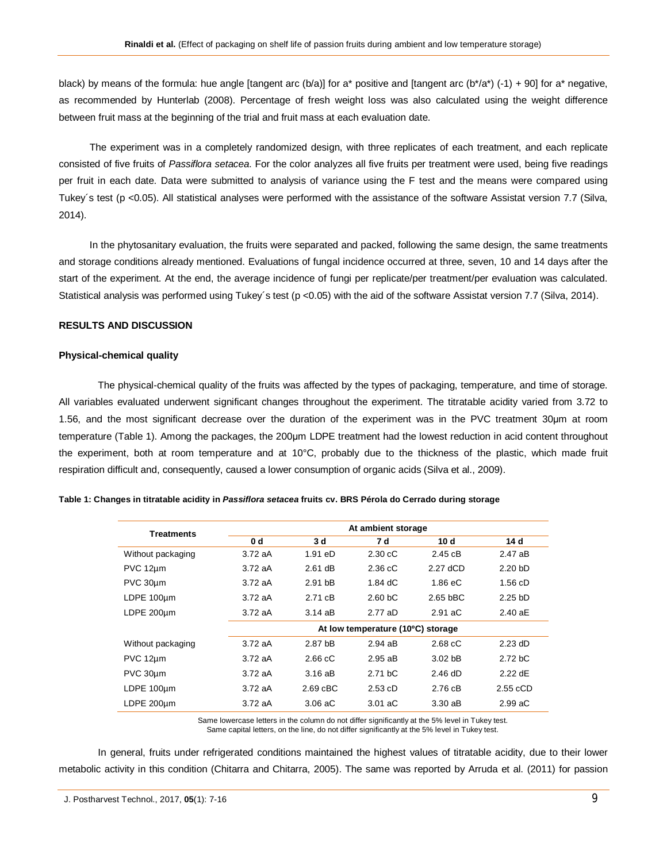black) by means of the formula: hue angle [tangent arc (b/a)] for a\* positive and [tangent arc (b\*/a\*) (-1) + 90] for a\* negative, as recommended by Hunterlab (2008). Percentage of fresh weight loss was also calculated using the weight difference between fruit mass at the beginning of the trial and fruit mass at each evaluation date.

The experiment was in a completely randomized design, with three replicates of each treatment, and each replicate consisted of five fruits of *Passiflora setacea*. For the color analyzes all five fruits per treatment were used, being five readings per fruit in each date. Data were submitted to analysis of variance using the F test and the means were compared using Tukey's test (p <0.05). All statistical analyses were performed with the assistance of the software Assistat version 7.7 (Silva, 2014).

In the phytosanitary evaluation, the fruits were separated and packed, following the same design, the same treatments and storage conditions already mentioned. Evaluations of fungal incidence occurred at three, seven, 10 and 14 days after the start of the experiment. At the end, the average incidence of fungi per replicate/per treatment/per evaluation was calculated. Statistical analysis was performed using Tukey's test (p <0.05) with the aid of the software Assistat version 7.7 (Silva, 2014).

# **RESULTS AND DISCUSSION**

#### **Physical-chemical quality**

The physical-chemical quality of the fruits was affected by the types of packaging, temperature, and time of storage. All variables evaluated underwent significant changes throughout the experiment. The titratable acidity varied from 3.72 to 1.56, and the most significant decrease over the duration of the experiment was in the PVC treatment 30μm at room temperature (Table 1). Among the packages, the 200μm LDPE treatment had the lowest reduction in acid content throughout the experiment, both at room temperature and at 10°C, probably due to the thickness of the plastic, which made fruit respiration difficult and, consequently, caused a lower consumption of organic acids (Silva et al., 2009).

| Treatments        | At ambient storage                |                    |                   |                    |                   |
|-------------------|-----------------------------------|--------------------|-------------------|--------------------|-------------------|
|                   | 0 <sub>d</sub>                    | 3d                 | 7 d               | 10 d               | 14 d              |
| Without packaging | 3.72aA                            | $1.91$ eD          | $2.30 \text{ cC}$ | 2.45cB             | $2.47$ aB         |
| PVC 12um          | 3.72aA                            | $2.61$ dB          | $2.36 \text{ cC}$ | 2.27 dCD           | 2.20 bD           |
| PVC 30um          | 3.72aA                            | 2.91 <sub>bB</sub> | $1.84 \text{ dC}$ | $1.86 \text{ eC}$  | $1.56$ cD         |
| LDPE 100um        | 3.72aA                            | 2.71 cB            | 2.60 bC           | 2.65 bBC           | $2.25$ bD         |
| LDPE 200um        | 3.72aA                            | $3.14$ aB          | 2.77 aD           | $2.91$ aC          | $2.40 \text{ aE}$ |
|                   | At low temperature (10°C) storage |                    |                   |                    |                   |
| Without packaging | 3.72aA                            | 2.87 bB            | $2.94$ aB         | $2.68 \text{ cC}$  | $2.23$ dD         |
| PVC 12um          | 3.72aA                            | $2.66 \text{ cC}$  | $2.95$ aB         | 3.02 <sub>bB</sub> | 2.72 bC           |
| PVC 30um          | 3.72aA                            | $3.16$ aB          | 2.71 bC           | $2.46$ dD          | $2.22$ dE         |
| LDPE 100um        | 3.72aA                            | $2.69$ $cBC$       | 2.53cD            | 2.76cB             | $2.55$ cCD        |
| LDPE 200um        | 3.72 aA                           | $3.06$ aC          | $3.01$ aC         | 3.30aB             | 2.99 aC           |

#### **Table 1: Changes in titratable acidity in** *Passiflora setacea* **fruits cv. BRS Pérola do Cerrado during storage**

Same lowercase letters in the column do not differ significantly at the 5% level in Tukey test. Same capital letters, on the line, do not differ significantly at the 5% level in Tukey test.

In general, fruits under refrigerated conditions maintained the highest values of titratable acidity, due to their lower metabolic activity in this condition (Chitarra and Chitarra, 2005). The same was reported by Arruda et al. (2011) for passion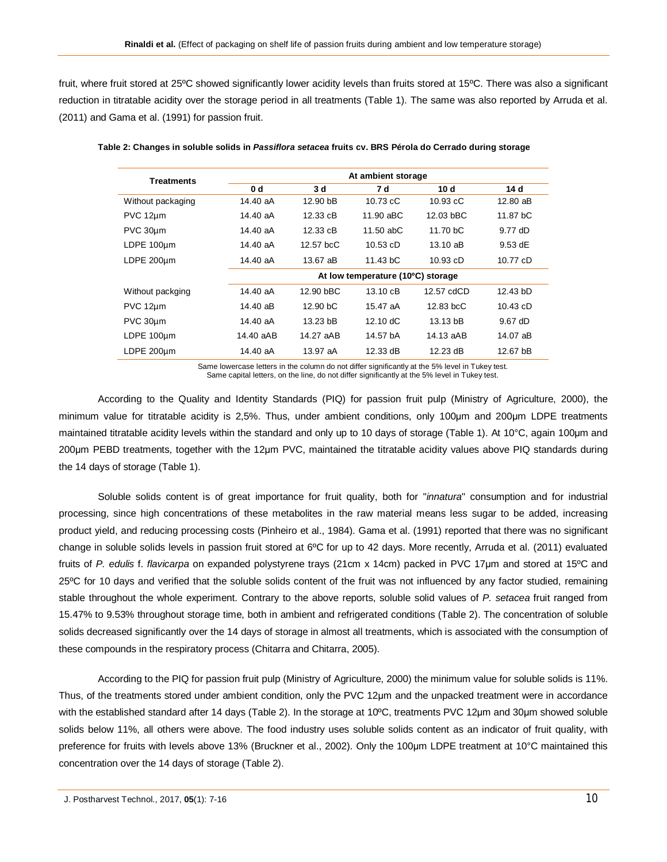fruit, where fruit stored at 25ºC showed significantly lower acidity levels than fruits stored at 15ºC. There was also a significant reduction in titratable acidity over the storage period in all treatments (Table 1). The same was also reported by Arruda et al. (2011) and Gama et al. (1991) for passion fruit.

| Treatments        |           | At ambient storage                |                    |                    |            |  |  |
|-------------------|-----------|-----------------------------------|--------------------|--------------------|------------|--|--|
|                   | 0 d       | 3d                                | 7 d                | 10d                | 14 d       |  |  |
| Without packaging | 14.40 aA  | 12.90 bB                          | $10.73$ cC         | $10.93 \text{ cC}$ | $12.80$ aB |  |  |
| PVC 12um          | 14.40 aA  | 12.33 cB                          | 11.90 aBC          | 12.03 bBC          | 11.87 bC   |  |  |
| PVC 30um          | 14.40 aA  | 12.33 cB                          | $11.50$ abC        | 11.70 bC           | 9.77 dD    |  |  |
| LDPE 100um        | 14.40 aA  | $12.57$ bcC                       | $10.53$ cD         | $13.10 \text{ a}B$ | $9.53$ dE  |  |  |
| LDPE 200um        | 14.40 aA  | 13.67 aB                          | 11.43 bC           | $10.93$ cD         | 10.77 cD   |  |  |
|                   |           | At low temperature (10°C) storage |                    |                    |            |  |  |
| Without packging  | 14.40 aA  | 12.90 bBC                         | $13.10 \text{ cB}$ | 12.57 cdCD         | 12.43 bD   |  |  |
| PVC 12um          | 14.40 aB  | 12.90 bC                          | 15.47 aA           | $12.83$ bcC        | $10.43$ cD |  |  |
| PVC 30um          | 14.40 aA  | 13.23 bB                          | $12.10 \text{ dC}$ | 13.13 bB           | $9.67$ dD  |  |  |
| LDPE 100um        | 14.40 aAB | 14.27 aAB                         | 14.57 bA           | 14.13 aAB          | 14.07 aB   |  |  |
| LDPE 200um        | 14.40 aA  | 13.97 aA                          | 12.33 dB           | 12.23 dB           | 12.67 bB   |  |  |

| Table 2: Changes in soluble solids in <i>Passiflora setacea</i> fruits cv. BRS Pérola do Cerrado during storage |  |  |
|-----------------------------------------------------------------------------------------------------------------|--|--|
|                                                                                                                 |  |  |
|                                                                                                                 |  |  |
|                                                                                                                 |  |  |

Same lowercase letters in the column do not differ significantly at the 5% level in Tukey test. Same capital letters, on the line, do not differ significantly at the 5% level in Tukey test.

According to the Quality and Identity Standards (PIQ) for passion fruit pulp (Ministry of Agriculture, 2000), the minimum value for titratable acidity is 2,5%. Thus, under ambient conditions, only 100μm and 200μm LDPE treatments maintained titratable acidity levels within the standard and only up to 10 days of storage (Table 1). At 10°C, again 100μm and 200μm PEBD treatments, together with the 12μm PVC, maintained the titratable acidity values above PIQ standards during the 14 days of storage (Table 1).

Soluble solids content is of great importance for fruit quality, both for "*innatura*" consumption and for industrial processing, since high concentrations of these metabolites in the raw material means less sugar to be added, increasing product yield, and reducing processing costs (Pinheiro et al., 1984). Gama et al. (1991) reported that there was no significant change in soluble solids levels in passion fruit stored at 6ºC for up to 42 days. More recently, Arruda et al. (2011) evaluated fruits of *P. edulis* f. *flavicarpa* on expanded polystyrene trays (21cm x 14cm) packed in PVC 17μm and stored at 15ºC and 25ºC for 10 days and verified that the soluble solids content of the fruit was not influenced by any factor studied, remaining stable throughout the whole experiment. Contrary to the above reports, soluble solid values of *P. setacea* fruit ranged from 15.47% to 9.53% throughout storage time, both in ambient and refrigerated conditions (Table 2). The concentration of soluble solids decreased significantly over the 14 days of storage in almost all treatments, which is associated with the consumption of these compounds in the respiratory process (Chitarra and Chitarra, 2005).

According to the PIQ for passion fruit pulp (Ministry of Agriculture, 2000) the minimum value for soluble solids is 11%. Thus, of the treatments stored under ambient condition, only the PVC 12μm and the unpacked treatment were in accordance with the established standard after 14 days (Table 2). In the storage at 10ºC, treatments PVC 12μm and 30μm showed soluble solids below 11%, all others were above. The food industry uses soluble solids content as an indicator of fruit quality, with preference for fruits with levels above 13% (Bruckner et al., 2002). Only the 100μm LDPE treatment at 10°C maintained this concentration over the 14 days of storage (Table 2).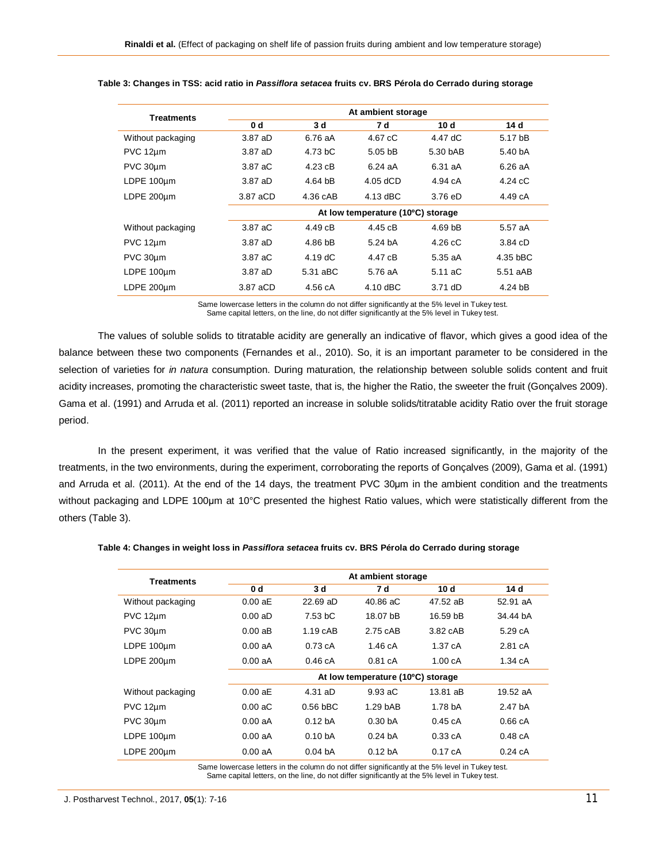| <b>Treatments</b> | At ambient storage                |                   |                    |                    |                    |  |
|-------------------|-----------------------------------|-------------------|--------------------|--------------------|--------------------|--|
|                   | 0 <sub>d</sub>                    | 3d                | 7 d                | 10d                | 14 d               |  |
| Without packaging | 3.87 aD                           | 6.76 aA           | $4.67 \text{ cC}$  | 4.47 dC            | 5.17 bB            |  |
| PVC 12um          | 3.87 aD                           | 4.73 bC           | 5.05 <sub>bB</sub> | 5.30 bAB           | 5.40 <sub>bA</sub> |  |
| PVC 30um          | 3.87 aC                           | $4.23 \text{ cB}$ | $6.24$ aA          | 6.31 aA            | 6.26aA             |  |
| LDPE 100um        | 3.87 aD                           | $4.64$ bB         | $4.05$ dCD         | 4.94 cA            | $4.24 \text{ cC}$  |  |
| LDPE 200um        | 3.87 aCD                          | 4.36 cAB          | 4.13 dBC           | $3.76$ eD          | 4.49 cA            |  |
|                   | At low temperature (10°C) storage |                   |                    |                    |                    |  |
| Without packaging | 3.87 aC                           | 4.49cB            | 4.45 cB            | 4.69 <sub>bB</sub> | 5.57 aA            |  |
| PVC 12um          | 3.87 aD                           | 4.86 bB           | 5.24 <sub>bA</sub> | $4.26 \text{ cC}$  | 3.84cD             |  |
| PVC 30um          | 3.87 aC                           | $4.19 \text{ dC}$ | 4.47 cB            | 5.35aA             | 4.35 bBC           |  |
| LDPE 100um        | 3.87 aD                           | 5.31 aBC          | 5.76 aA            | $5.11 \text{ aC}$  | 5.51 aAB           |  |
| LDPE 200um        | 3.87 aCD                          | 4.56 cA           | $4.10$ dBC         | $3.71$ dD          | $4.24$ bB          |  |

## **Table 3: Changes in TSS: acid ratio in** *Passiflora setacea* **fruits cv. BRS Pérola do Cerrado during storage**

Same lowercase letters in the column do not differ significantly at the 5% level in Tukey test. Same capital letters, on the line, do not differ significantly at the 5% level in Tukey test.

The values of soluble solids to titratable acidity are generally an indicative of flavor, which gives a good idea of the balance between these two components (Fernandes et al., 2010). So, it is an important parameter to be considered in the selection of varieties for *in natura* consumption. During maturation, the relationship between soluble solids content and fruit acidity increases, promoting the characteristic sweet taste, that is, the higher the Ratio, the sweeter the fruit (Gonçalves 2009). Gama et al. (1991) and Arruda et al. (2011) reported an increase in soluble solids/titratable acidity Ratio over the fruit storage period.

In the present experiment, it was verified that the value of Ratio increased significantly, in the majority of the treatments, in the two environments, during the experiment, corroborating the reports of Gonçalves (2009), Gama et al. (1991) and Arruda et al. (2011). At the end of the 14 days, the treatment PVC 30µm in the ambient condition and the treatments without packaging and LDPE 100μm at 10°C presented the highest Ratio values, which were statistically different from the others (Table 3).

| <b>Treatments</b> | At ambient storage                |                    |                    |          |                   |  |
|-------------------|-----------------------------------|--------------------|--------------------|----------|-------------------|--|
|                   | 0 d                               | 3d                 | 7 d                | 10d      | 14 d              |  |
| Without packaging | 0.00 aE                           | $22.69$ aD         | 40.86 aC           | 47.52 aB | 52.91 aA          |  |
| PVC 12um          | $0.00$ aD                         | 7.53 bC            | 18.07 bB           | 16.59 bB | 34.44 bA          |  |
| PVC 30um          | 0.00aB                            | $1.19$ $cAB$       | 2.75 cAB           | 3.82 cAB | 5.29cA            |  |
| LDPE 100um        | 0.00 aA                           | 0.73cA             | 1.46 cA            | 1.37cA   | 2.81 cA           |  |
| LDPE 200µm        | 0.00 aA                           | 0.46cA             | 0.81cA             | 1.00cA   | $1.34 \text{ cA}$ |  |
|                   | At low temperature (10°C) storage |                    |                    |          |                   |  |
| Without packaging | 0.00 aE                           | $4.31$ aD          | 9.93 aC            | 13.81 aB | 19.52 aA          |  |
| PVC 12um          | $0.00 \text{ aC}$                 | $0.56$ bBC         | $1.29$ bAB         | 1.78 bA  | 2.47 hA           |  |
| PVC 30um          | 0.00 aA                           | 0.12 <sub>bA</sub> | 0.30 <sub>bA</sub> | 0.45cA   | 0.66cA            |  |
| LDPE 100µm        | 0.00 aA                           | 0.10 <sub>bA</sub> | 0.24h              | 0.33cA   | 0.48cA            |  |
| LDPE 200um        | 0.00 aA                           | 0.04 <sub>bA</sub> | 0.12 <sub>bA</sub> | 0.17cA   | 0.24cA            |  |

#### **Table 4: Changes in weight loss in** *Passiflora setacea* **fruits cv. BRS Pérola do Cerrado during storage**

Same lowercase letters in the column do not differ significantly at the 5% level in Tukey test. Same capital letters, on the line, do not differ significantly at the 5% level in Tukey test.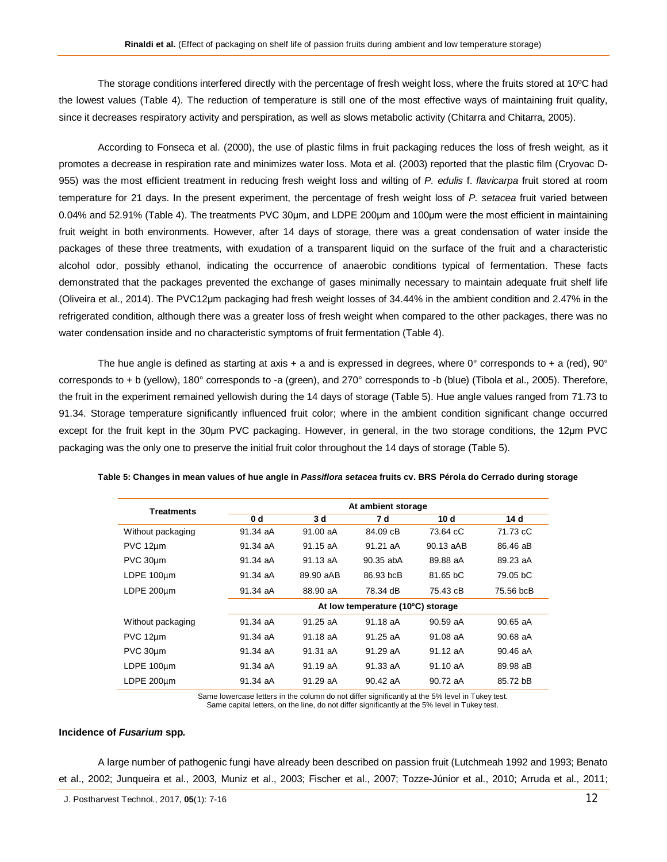The storage conditions interfered directly with the percentage of fresh weight loss, where the fruits stored at 10°C had the lowest values (Table 4). The reduction of temperature is still one of the most effective ways of maintaining fruit quality, since it decreases respiratory activity and perspiration, as well as slows metabolic activity (Chitarra and Chitarra, 2005).

According to Fonseca et al. (2000), the use of plastic films in fruit packaging reduces the loss of fresh weight, as it promotes a decrease in respiration rate and minimizes water loss. Mota et al. (2003) reported that the plastic film (Cryovac D-955) was the most efficient treatment in reducing fresh weight loss and wilting of *P. edulis* f. *flavicarpa* fruit stored at room temperature for 21 days. In the present experiment, the percentage of fresh weight loss of *P. setacea* fruit varied between 0.04% and 52.91% (Table 4). The treatments PVC 30μm, and LDPE 200μm and 100μm were the most efficient in maintaining fruit weight in both environments. However, after 14 days of storage, there was a great condensation of water inside the packages of these three treatments, with exudation of a transparent liquid on the surface of the fruit and a characteristic alcohol odor, possibly ethanol, indicating the occurrence of anaerobic conditions typical of fermentation. These facts demonstrated that the packages prevented the exchange of gases minimally necessary to maintain adequate fruit shelf life (Oliveira et al., 2014). The PVC12μm packaging had fresh weight losses of 34.44% in the ambient condition and 2.47% in the refrigerated condition, although there was a greater loss of fresh weight when compared to the other packages, there was no water condensation inside and no characteristic symptoms of fruit fermentation (Table 4).

The hue angle is defined as starting at axis + a and is expressed in degrees, where  $0^{\circ}$  corresponds to + a (red),  $90^{\circ}$ corresponds to + b (yellow), 180° corresponds to -a (green), and 270° corresponds to -b (blue) (Tibola et al., 2005). Therefore, the fruit in the experiment remained yellowish during the 14 days of storage (Table 5). Hue angle values ranged from 71.73 to 91.34. Storage temperature significantly influenced fruit color; where in the ambient condition significant change occurred except for the fruit kept in the 30μm PVC packaging. However, in general, in the two storage conditions, the 12μm PVC packaging was the only one to preserve the initial fruit color throughout the 14 days of storage (Table 5).

| Treatments        | At ambient storage                |           |           |           |            |  |
|-------------------|-----------------------------------|-----------|-----------|-----------|------------|--|
|                   | 0 <sub>d</sub>                    | 3d        | 7 d       | 10d       | 14 d       |  |
| Without packaging | 91.34 aA                          | 91.00 aA  | 84.09 cB  | 73.64 cC  | 71.73 cC   |  |
| $PVC 12 \mu m$    | 91.34 aA                          | 91.15 aA  | 91.21 aA  | 90.13 aAB | 86.46 aB   |  |
| PVC 30um          | 91.34 aA                          | 91.13 aA  | 90.35 abA | 89.88 aA  | 89.23 aA   |  |
| LDPE 100um        | 91.34 aA                          | 89.90 aAB | 86.93 bcB | 81.65 bC  | 79.05 bC   |  |
| LDPE 200um        | 91.34 aA                          | 88.90 aA  | 78.34 dB  | 75.43 cB  | 75.56 bcB  |  |
|                   | At low temperature (10°C) storage |           |           |           |            |  |
| Without packaging | 91.34 aA                          | 91.25 aA  | 91.18 aA  | 90.59 aA  | $90.65$ aA |  |
| PVC 12µm          | 91.34 aA                          | 91.18 aA  | 91.25 aA  | 91.08 aA  | 90.68 aA   |  |
| PVC 30um          | 91.34 aA                          | 91.31 aA  | 91.29 aA  | 91.12 aA  | $90.46$ aA |  |
| LDPE 100um        | $91.34 \text{ aA}$                | 91.19 aA  | 91.33 aA  | 91.10 aA  | 89.98 aB   |  |
| LDPE 200um        | $91.34$ aA                        | 91.29 aA  | 90.42 aA  | 90.72 aA  | 85.72 bB   |  |

**Table 5: Changes in mean values of hue angle in** *Passiflora setacea* **fruits cv. BRS Pérola do Cerrado during storage**

Same lowercase letters in the column do not differ significantly at the 5% level in Tukey test. Same capital letters, on the line, do not differ significantly at the 5% level in Tukey test.

#### **Incidence of** *Fusarium* **spp***.*

A large number of pathogenic fungi have already been described on passion fruit (Lutchmeah 1992 and 1993; Benato et al., 2002; Junqueira et al., 2003, Muniz et al., 2003; Fischer et al., 2007; Tozze-Júnior et al., 2010; Arruda et al., 2011;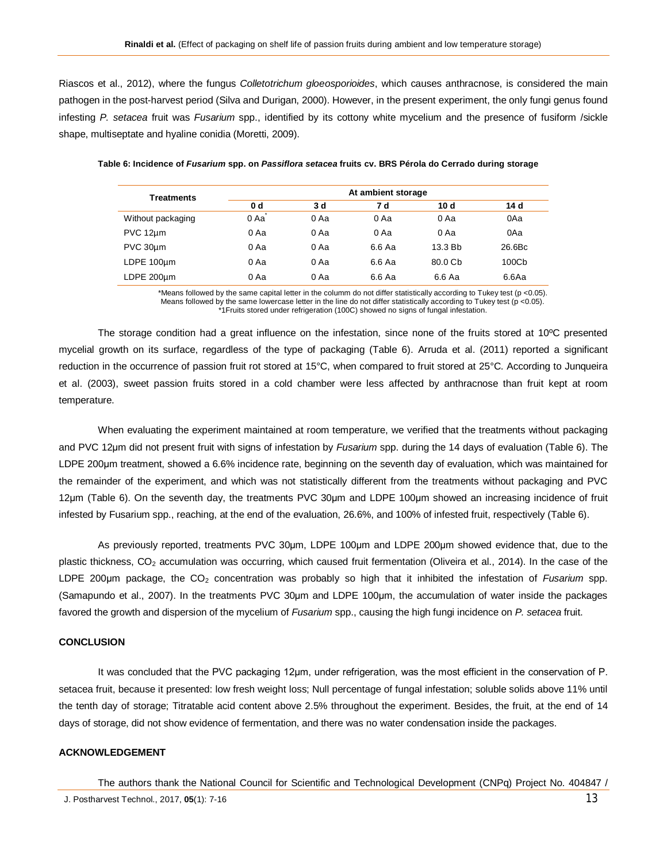Riascos et al., 2012), where the fungus *Colletotrichum gloeosporioides*, which causes anthracnose, is considered the main pathogen in the post-harvest period (Silva and Durigan, 2000). However, in the present experiment, the only fungi genus found infesting *P. setacea* fruit was *Fusarium* spp., identified by its cottony white mycelium and the presence of fusiform /sickle shape, multiseptate and hyaline conidia (Moretti, 2009).

| <b>Treatments</b> | At ambient storage |        |        |         |                   |  |
|-------------------|--------------------|--------|--------|---------|-------------------|--|
|                   | 0 <sub>d</sub>     | 3 d    | 7 d    | 10 d    | 14 d              |  |
| Without packaging | 0 Aa               | 0 Aa   | 0 Aa   | 0 Aa    | 0Aa               |  |
| PVC 12um          | 0 Aa               | $0$ Aa | 0 Aa   | 0 Aa    | 0Aa               |  |
| PVC 30um          | 0 Aa               | 0 Aa   | 6.6 Aa | 13.3 Bb | 26.6Bc            |  |
| LDPE 100um        | 0 Aa               | $0$ Aa | 6.6 Aa | 80.0 Cb | 100C <sub>b</sub> |  |
| LDPE 200um        | 0 Aa               | 0 Aa   | 6.6 Aa | 6.6 Aa  | 6.6Aa             |  |

**Table 6: Incidence of** *Fusarium* **spp. on** *Passiflora setacea* **fruits cv. BRS Pérola do Cerrado during storage**

\*Means followed by the same capital letter in the columm do not differ statistically according to Tukey test (p <0.05). Means followed by the same lowercase letter in the line do not differ statistically according to Tukey test ( $p$  <0.05). \*1Fruits stored under refrigeration (100C) showed no signs of fungal infestation.

The storage condition had a great influence on the infestation, since none of the fruits stored at 10ºC presented mycelial growth on its surface, regardless of the type of packaging (Table 6). Arruda et al. (2011) reported a significant reduction in the occurrence of passion fruit rot stored at 15°C, when compared to fruit stored at 25°C. According to Junqueira et al. (2003), sweet passion fruits stored in a cold chamber were less affected by anthracnose than fruit kept at room temperature.

When evaluating the experiment maintained at room temperature, we verified that the treatments without packaging and PVC 12μm did not present fruit with signs of infestation by *Fusarium* spp. during the 14 days of evaluation (Table 6). The LDPE 200μm treatment, showed a 6.6% incidence rate, beginning on the seventh day of evaluation, which was maintained for the remainder of the experiment, and which was not statistically different from the treatments without packaging and PVC 12μm (Table 6). On the seventh day, the treatments PVC 30μm and LDPE 100μm showed an increasing incidence of fruit infested by Fusarium spp., reaching, at the end of the evaluation, 26.6%, and 100% of infested fruit, respectively (Table 6).

As previously reported, treatments PVC 30μm, LDPE 100μm and LDPE 200μm showed evidence that, due to the plastic thickness, CO<sub>2</sub> accumulation was occurring, which caused fruit fermentation (Oliveira et al., 2014). In the case of the LDPE 200μm package, the CO<sup>2</sup> concentration was probably so high that it inhibited the infestation of *Fusarium* spp. (Samapundo et al., 2007). In the treatments PVC 30μm and LDPE 100μm, the accumulation of water inside the packages favored the growth and dispersion of the mycelium of *Fusarium* spp., causing the high fungi incidence on *P. setacea* fruit.

# **CONCLUSION**

It was concluded that the PVC packaging 12μm, under refrigeration, was the most efficient in the conservation of P. setacea fruit, because it presented: low fresh weight loss; Null percentage of fungal infestation; soluble solids above 11% until the tenth day of storage; Titratable acid content above 2.5% throughout the experiment. Besides, the fruit, at the end of 14 days of storage, did not show evidence of fermentation, and there was no water condensation inside the packages.

#### **ACKNOWLEDGEMENT**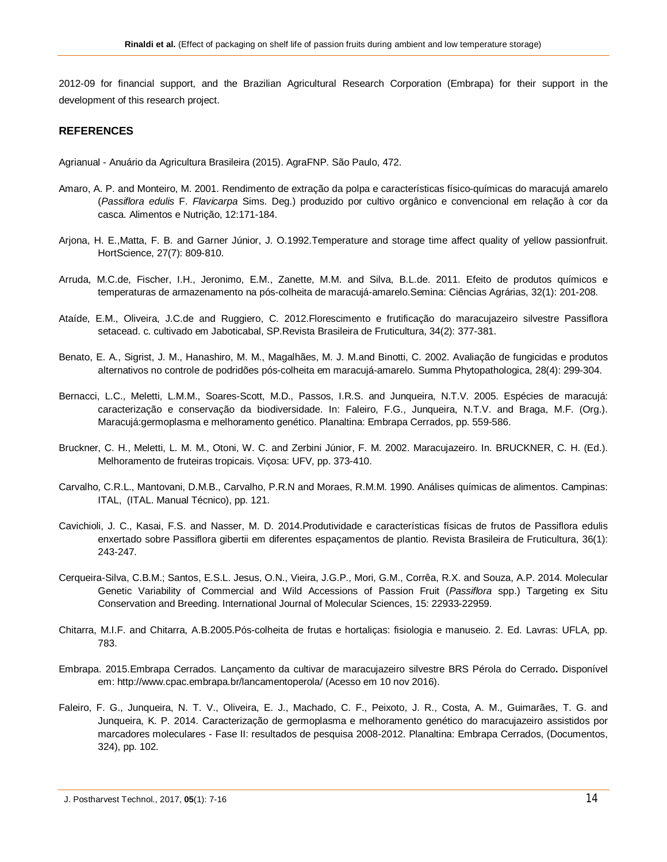2012-09 for financial support, and the Brazilian Agricultural Research Corporation (Embrapa) for their support in the development of this research project.

# **REFERENCES**

Agrianual - Anuário da Agricultura Brasileira (2015). AgraFNP. São Paulo, 472.

- Amaro, A. P. and Monteiro, M. 2001. Rendimento de extração da polpa e características físico-químicas do maracujá amarelo (*Passiflora edulis* F. *Flavicarpa* Sims. Deg.) produzido por cultivo orgânico e convencional em relação à cor da casca. Alimentos e Nutrição, 12:171-184.
- Arjona, H. E.,Matta, F. B. and Garner Júnior, J. O.1992.Temperature and storage time affect quality of yellow passionfruit. HortScience, 27(7): 809-810.
- Arruda, M.C.de, Fischer, I.H., Jeronimo, E.M., Zanette, M.M. and Silva, B.L.de. 2011. Efeito de produtos químicos e temperaturas de armazenamento na pós-colheita de maracujá-amarelo.Semina: Ciências Agrárias, 32(1): 201-208.
- Ataíde, E.M., Oliveira, J.C.de and Ruggiero, C. 2012.Florescimento e frutificação do maracujazeiro silvestre Passiflora setacead. c. cultivado em Jaboticabal, SP.Revista Brasileira de Fruticultura, 34(2): 377-381.
- Benato, E. A., Sigrist, J. M., Hanashiro, M. M., Magalhães, M. J. M.and Binotti, C. 2002. Avaliação de fungicidas e produtos alternativos no controle de podridões pós-colheita em maracujá-amarelo. Summa Phytopathologica, 28(4): 299-304.
- Bernacci, L.C., Meletti, L.M.M., Soares-Scott, M.D., Passos, I.R.S. and Junqueira, N.T.V. 2005. Espécies de maracujá: caracterização e conservação da biodiversidade. In: Faleiro, F.G., Junqueira, N.T.V. and Braga, M.F. (Org.). Maracujá:germoplasma e melhoramento genético. Planaltina: Embrapa Cerrados, pp. 559-586.
- Bruckner, C. H., Meletti, L. M. M., Otoni, W. C. and Zerbini Júnior, F. M. 2002. Maracujazeiro. In. BRUCKNER, C. H. (Ed.). Melhoramento de fruteiras tropicais. Viçosa: UFV, pp. 373-410.
- Carvalho, C.R.L., Mantovani, D.M.B., Carvalho, P.R.N and Moraes, R.M.M. 1990. Análises químicas de alimentos. Campinas: ITAL, (ITAL. Manual Técnico), pp. 121.
- Cavichioli, J. C., Kasai, F.S. and Nasser, M. D. 2014.Produtividade e características físicas de frutos de Passiflora edulis enxertado sobre Passiflora gibertii em diferentes espaçamentos de plantio. Revista Brasileira de Fruticultura, 36(1): 243-247.
- Cerqueira-Silva, C.B.M.; Santos, E.S.L. Jesus, O.N., Vieira, J.G.P., Mori, G.M., Corrêa, R.X. and Souza, A.P. 2014. Molecular Genetic Variability of Commercial and Wild Accessions of Passion Fruit (*Passiflora* spp.) Targeting ex Situ Conservation and Breeding. International Journal of Molecular Sciences, 15: 22933-22959.
- Chitarra, M.I.F. and Chitarra, A.B.2005.Pós-colheita de frutas e hortaliças: fisiologia e manuseio. 2. Ed. Lavras: UFLA, pp. 783.
- Embrapa. 2015.Embrapa Cerrados. Lançamento da cultivar de maracujazeiro silvestre BRS Pérola do Cerrado**.** Disponível em: http://www.cpac.embrapa.br/lancamentoperola/ (Acesso em 10 nov 2016).
- Faleiro, F. G., Junqueira, N. T. V., Oliveira, E. J., Machado, C. F., Peixoto, J. R., Costa, A. M., Guimarães, T. G. and Junqueira, K. P. 2014. Caracterização de germoplasma e melhoramento genético do maracujazeiro assistidos por marcadores moleculares - Fase II: resultados de pesquisa 2008-2012. Planaltina: Embrapa Cerrados, (Documentos, 324), pp. 102.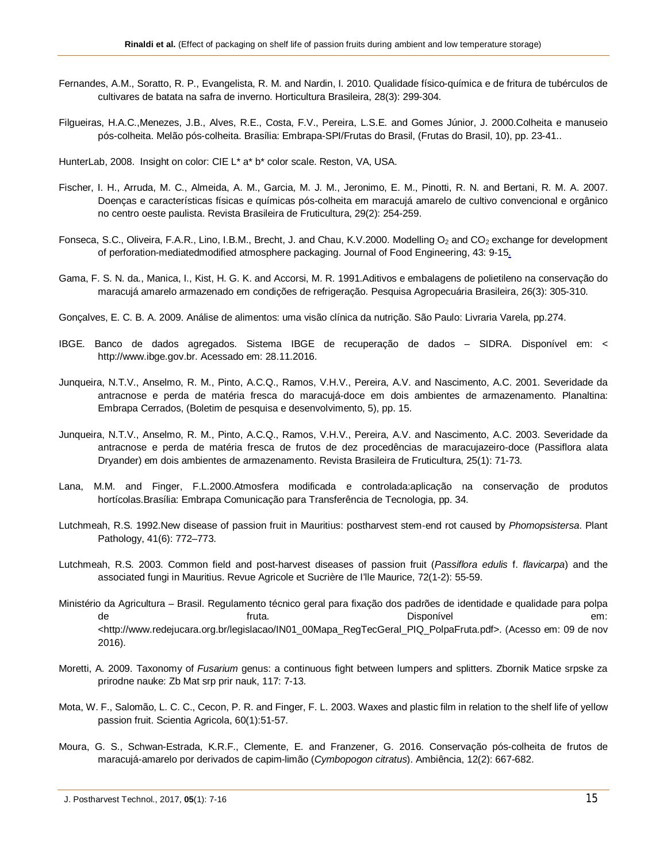- Fernandes, A.M., Soratto, R. P., Evangelista, R. M. and Nardin, I. 2010. Qualidade físico-química e de fritura de tubérculos de cultivares de batata na safra de inverno. Horticultura Brasileira, 28(3): 299-304.
- Filgueiras, H.A.C.,Menezes, J.B., Alves, R.E., Costa, F.V., Pereira, L.S.E. and Gomes Júnior, J. 2000.Colheita e manuseio pós-colheita. Melão pós-colheita. Brasília: Embrapa-SPI/Frutas do Brasil, (Frutas do Brasil, 10), pp. 23-41..
- HunterLab, 2008. Insight on color: CIE L\* a\* b\* color scale. Reston, VA, USA.
- Fischer, I. H., Arruda, M. C., Almeida, A. M., Garcia, M. J. M., Jeronimo, E. M., Pinotti, R. N. and Bertani, R. M. A. 2007. Doenças e características físicas e químicas pós-colheita em maracujá amarelo de cultivo convencional e orgânico no centro oeste paulista. Revista Brasileira de Fruticultura, 29(2): 254-259.
- Fonseca, S.C., Oliveira, F.A.R., Lino, I.B.M., Brecht, J. and Chau, K.V.2000. Modelling O<sub>2</sub> and CO<sub>2</sub> exchange for development of perforation-mediatedmodified atmosphere packaging. Journal of Food Engineering, 43: 9-15.
- Gama, F. S. N. da., Manica, I., Kist, H. G. K. and Accorsi, M. R. 1991.Aditivos e embalagens de polietileno na conservação do maracujá amarelo armazenado em condições de refrigeração. Pesquisa Agropecuária Brasileira, 26(3): 305-310.
- Gonçalves, E. C. B. A. 2009. Análise de alimentos: uma visão clínica da nutrição. São Paulo: Livraria Varela, pp.274.
- IBGE. Banco de dados agregados. Sistema IBGE de recuperação de dados SIDRA. Disponível em: < http://www.ibge.gov.br. Acessado em: 28.11.2016.
- Junqueira, N.T.V., Anselmo, R. M., Pinto, A.C.Q., Ramos, V.H.V., Pereira, A.V. and Nascimento, A.C. 2001. Severidade da antracnose e perda de matéria fresca do maracujá-doce em dois ambientes de armazenamento. Planaltina: Embrapa Cerrados, (Boletim de pesquisa e desenvolvimento, 5), pp. 15.
- Junqueira, N.T.V., Anselmo, R. M., Pinto, A.C.Q., Ramos, V.H.V., Pereira, A.V. and Nascimento, A.C. 2003. Severidade da antracnose e perda de matéria fresca de frutos de dez procedências de maracujazeiro-doce (Passiflora alata Dryander) em dois ambientes de armazenamento. Revista Brasileira de Fruticultura, 25(1): 71-73.
- Lana, M.M. and Finger, F.L.2000.Atmosfera modificada e controlada:aplicação na conservação de produtos hortícolas.Brasília: Embrapa Comunicação para Transferência de Tecnologia, pp. 34.
- Lutchmeah, R.S. 1992.New disease of passion fruit in Mauritius: postharvest stem‐end rot caused by *Phomopsistersa*. Plant Pathology, 41(6): 772–773.
- Lutchmeah, R.S. 2003. Common field and post-harvest diseases of passion fruit (*Passiflora edulis* f. *flavicarpa*) and the associated fungi in Mauritius. Revue Agricole et Sucrière de I'lle Maurice, 72(1-2): 55-59.
- Ministério da Agricultura Brasil. Regulamento técnico geral para fixação dos padrões de identidade e qualidade para polpa de fruta. A frutaeries of the control of the fructure of the control of the control of the control of the contr <http://www.redejucara.org.br/legislacao/IN01\_00Mapa\_RegTecGeral\_PIQ\_PolpaFruta.pdf>. (Acesso em: 09 de nov 2016).
- Moretti, A. 2009. Taxonomy of *Fusarium* genus: a continuous fight between lumpers and splitters. Zbornik Matice srpske za prirodne nauke: Zb Mat srp prir nauk, 117: 7-13.
- Mota, W. F., Salomão, L. C. C., Cecon, P. R. and Finger, F. L. 2003. Waxes and plastic film in relation to the shelf life of yellow passion fruit. Scientia Agricola, 60(1):51-57.
- Moura, G. S., Schwan-Estrada, K.R.F., Clemente, E. and Franzener, G. 2016. Conservação pós-colheita de frutos de maracujá-amarelo por derivados de capim-limão (*Cymbopogon citratus*). Ambiência, 12(2): 667-682.

J. Postharvest Technol., 2017, **05**(1): 7-16 15